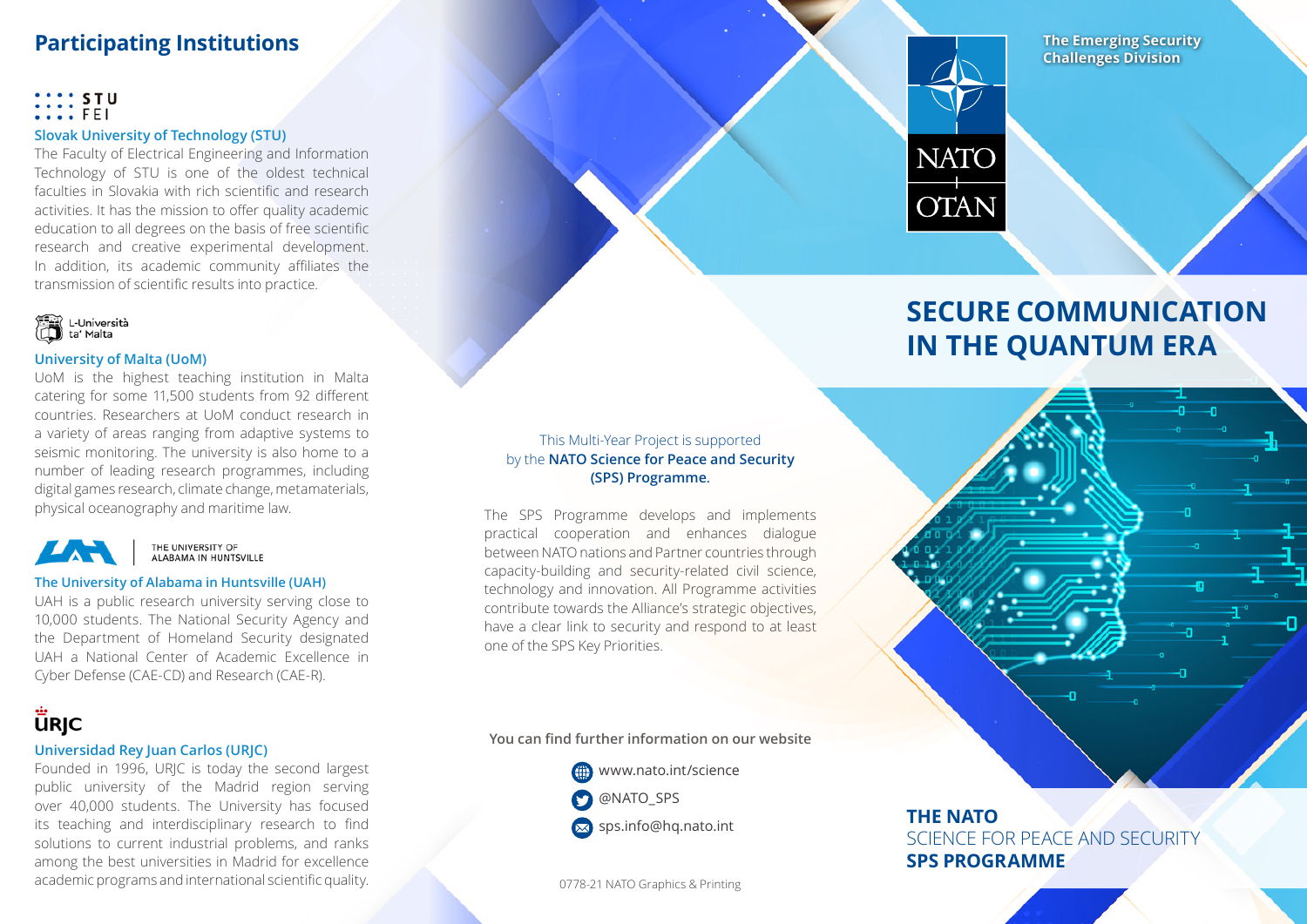# **Participating Institutions**

### $\cdots$  STU  $\ldots$  fei

### **Slovak University of Technology (STU)**

The Faculty of Electrical Engineering and Information Technology of STU is one of the oldest technical faculties in Slovakia with rich scientific and research activities. It has the mission to offer quality academic education to all degrees on the basis of free scientific research and creative experimental development. In addition, its academic community affiliates the transmission of scientific results into practice.



### **University of Malta (UoM)**

UoM is the highest teaching institution in Malta catering for some 11,500 students from 92 different countries. Researchers at UoM conduct research in a variety of areas ranging from adaptive systems to seismic monitoring. The university is also home to a number of leading research programmes, including digital games research, climate change, metamaterials, physical oceanography and maritime law.



THE UNIVERSITY OF<br>ALABAMA IN HUNTSVILLE

#### **The University of Alabama in Huntsville (UAH)**

UAH is a public research university serving close to 10,000 students. The National Security Agency and the Department of Homeland Security designated UAH a National Center of Academic Excellence in Cyber Defense (CAE-CD) and Research (CAE-R).

# **ÜRJC**

## **Universidad Rey Juan Carlos (URJC)**

Founded in 1996, URJC is today the second largest public university of the Madrid region serving over 40,000 students. The University has focused its teaching and interdisciplinary research to find solutions to current industrial problems, and ranks among the best universities in Madrid for excellence academic programs and international scientific quality. 0778-21 NATO Graphics & Printing

## This Multi-Year Project is supported by the **NATO Science for Peace and Security (SPS) Programme**.

The SPS Programme develops and implements practical cooperation and enhances dialogue between NATO nations and Partner countries through capacity-building and security-related civil science, technology and innovation. All Programme activities contribute towards the Alliance's strategic objectives, have a clear link to security and respond to at least one of the SPS Key Priorities.

**You can find further information on our website**

**ED** www.nato.int/science **O** @NATO\_SPS

 $\bowtie$  sps.info@hq.nato.int

## **The Emerging Security Challenges Division**



# **SECURE COMMUNICATION IN THE QUANTUM ERA**